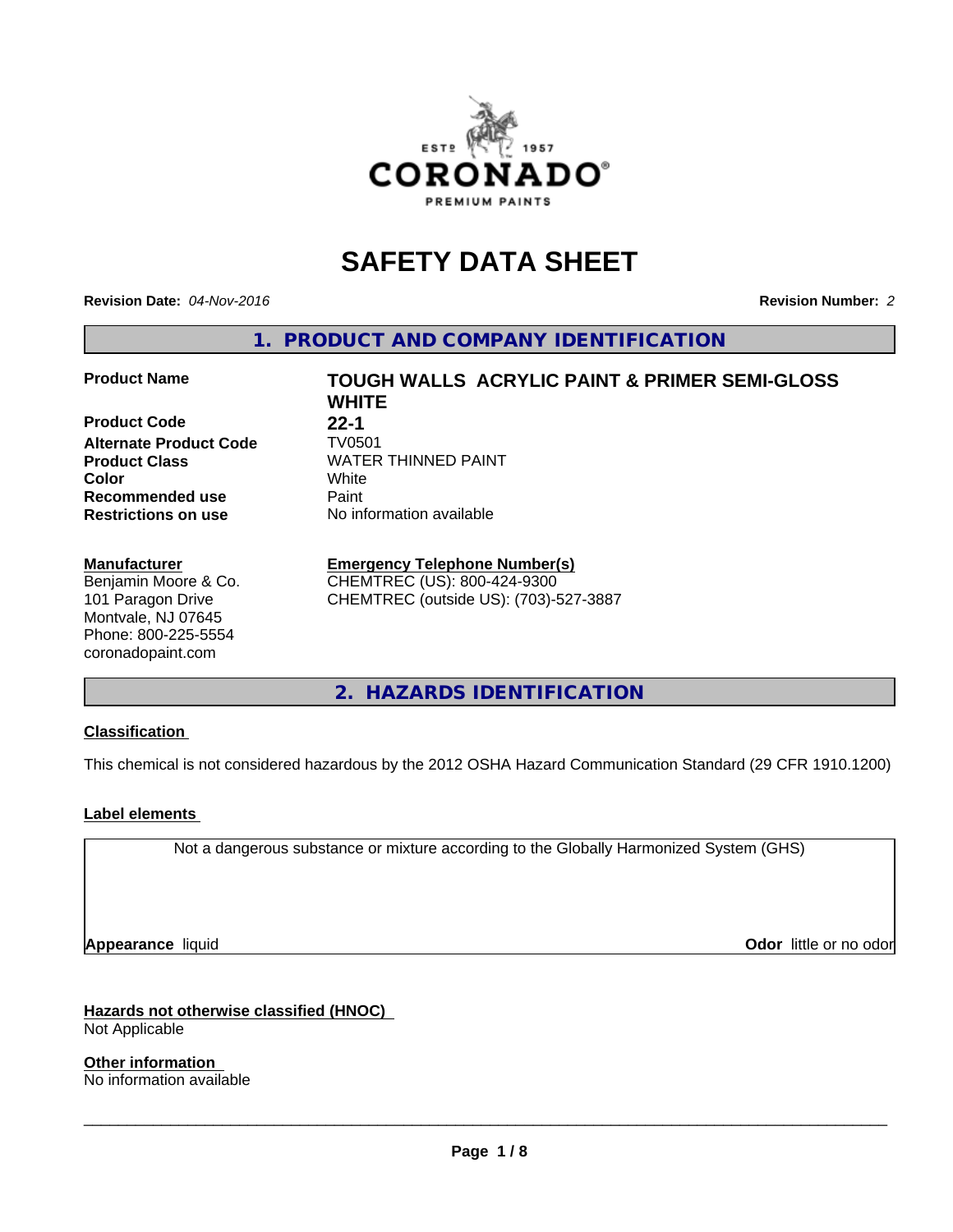

# **SAFETY DATA SHEET**

**Revision Date:** *04-Nov-2016* **Revision Number:** *2*

**1. PRODUCT AND COMPANY IDENTIFICATION**

#### **Product Name TOUGH WALLS ACRYLIC PAINT & PRIMER SEMI-GLOSS**

**Product Code 22-1**<br>**Alternate Product Code** TV0501 **Alternate Product Code**<br>Product Class **Recommended use** Paint<br> **Restrictions on use** No inf

#### **Manufacturer**

Benjamin Moore & Co. 101 Paragon Drive Montvale, NJ 07645 Phone: 800-225-5554 coronadopaint.com

**WHITE Product Class** WATER THINNED PAINT<br> **Color** White **Color** White White **No information available** 

# **Emergency Telephone Number(s)**

CHEMTREC (US): 800-424-9300 CHEMTREC (outside US): (703)-527-3887

**2. HAZARDS IDENTIFICATION**

#### **Classification**

This chemical is not considered hazardous by the 2012 OSHA Hazard Communication Standard (29 CFR 1910.1200)

#### **Label elements**

Not a dangerous substance or mixture according to the Globally Harmonized System (GHS)

**Appearance** liquid **Contract Contract Contract Contract Contract Contract Contract Contract Contract Contract Contract Contract Contract Contract Contract Contract Contract Contract Contract Contract Contract Contract Con** 

**Hazards not otherwise classified (HNOC)** Not Applicable

**Other information** No information available

 $\overline{\phantom{a}}$  ,  $\overline{\phantom{a}}$  ,  $\overline{\phantom{a}}$  ,  $\overline{\phantom{a}}$  ,  $\overline{\phantom{a}}$  ,  $\overline{\phantom{a}}$  ,  $\overline{\phantom{a}}$  ,  $\overline{\phantom{a}}$  ,  $\overline{\phantom{a}}$  ,  $\overline{\phantom{a}}$  ,  $\overline{\phantom{a}}$  ,  $\overline{\phantom{a}}$  ,  $\overline{\phantom{a}}$  ,  $\overline{\phantom{a}}$  ,  $\overline{\phantom{a}}$  ,  $\overline{\phantom{a}}$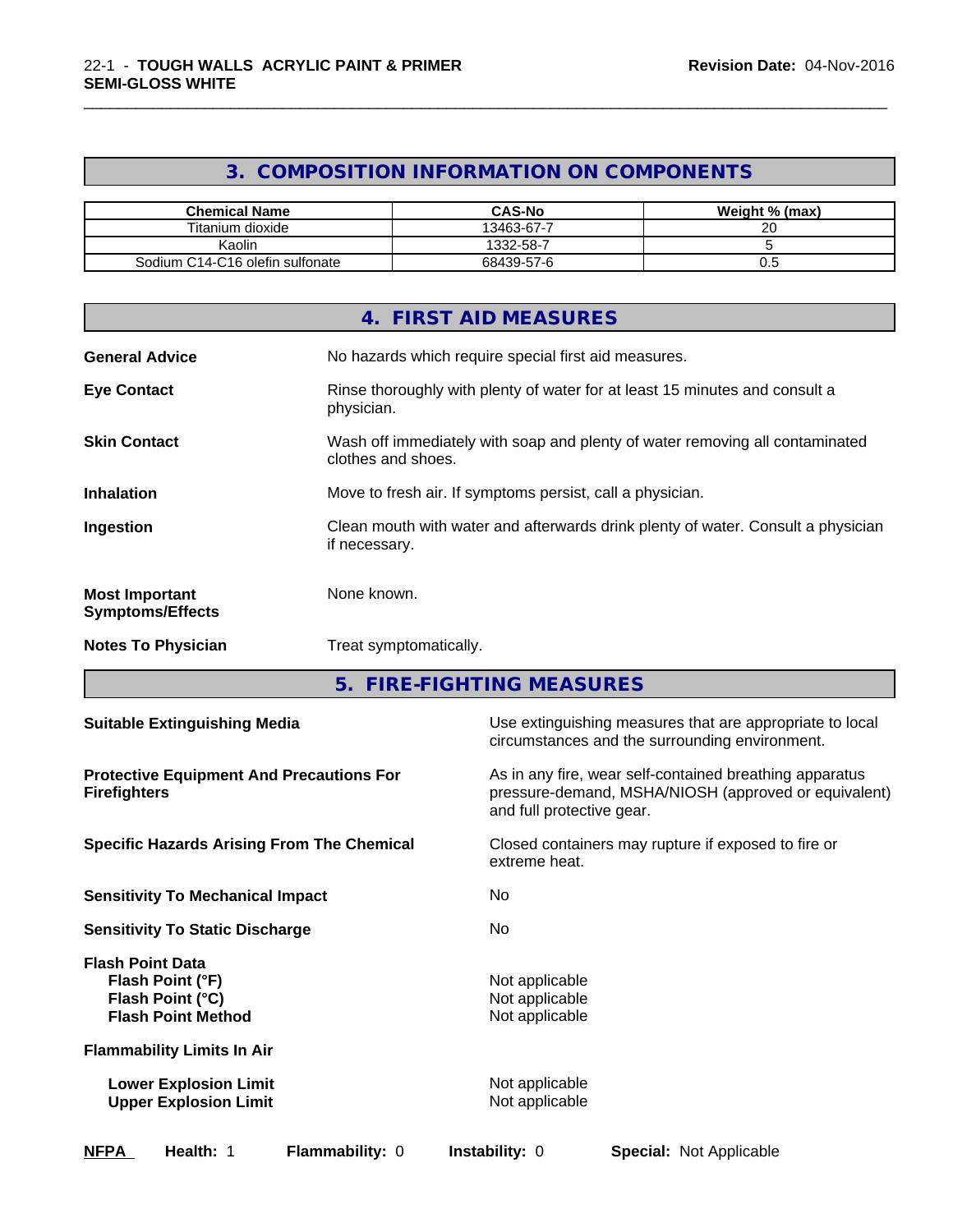# **3. COMPOSITION INFORMATION ON COMPONENTS**

\_\_\_\_\_\_\_\_\_\_\_\_\_\_\_\_\_\_\_\_\_\_\_\_\_\_\_\_\_\_\_\_\_\_\_\_\_\_\_\_\_\_\_\_\_\_\_\_\_\_\_\_\_\_\_\_\_\_\_\_\_\_\_\_\_\_\_\_\_\_\_\_\_\_\_\_\_\_\_\_\_\_\_\_\_\_\_\_\_\_\_\_\_

| <b>Chemical Name</b>            | <b>CAS-No</b> | Weight % (max) |
|---------------------------------|---------------|----------------|
| Titanium dioxide                | 13463-67-7    | 20             |
| Kaolin                          | 1332-58-7     |                |
| Sodium C14-C16 olefin sulfonate | 68439-57-6    | v.v            |

|                                                  | 4. FIRST AID MEASURES                                                                              |
|--------------------------------------------------|----------------------------------------------------------------------------------------------------|
| <b>General Advice</b>                            | No hazards which require special first aid measures.                                               |
| <b>Eye Contact</b>                               | Rinse thoroughly with plenty of water for at least 15 minutes and consult a<br>physician.          |
| <b>Skin Contact</b>                              | Wash off immediately with soap and plenty of water removing all contaminated<br>clothes and shoes. |
| <b>Inhalation</b>                                | Move to fresh air. If symptoms persist, call a physician.                                          |
| Ingestion                                        | Clean mouth with water and afterwards drink plenty of water. Consult a physician<br>if necessary.  |
| <b>Most Important</b><br><b>Symptoms/Effects</b> | None known.                                                                                        |
| <b>Notes To Physician</b>                        | Treat symptomatically.                                                                             |

**5. FIRE-FIGHTING MEASURES**

| <b>Suitable Extinguishing Media</b>                                                          | Use extinguishing measures that are appropriate to local<br>circumstances and the surrounding environment.                                   |
|----------------------------------------------------------------------------------------------|----------------------------------------------------------------------------------------------------------------------------------------------|
| <b>Protective Equipment And Precautions For</b><br><b>Firefighters</b>                       | As in any fire, wear self-contained breathing apparatus<br>pressure-demand, MSHA/NIOSH (approved or equivalent)<br>and full protective gear. |
| <b>Specific Hazards Arising From The Chemical</b>                                            | Closed containers may rupture if exposed to fire or<br>extreme heat.                                                                         |
| <b>Sensitivity To Mechanical Impact</b>                                                      | No                                                                                                                                           |
| <b>Sensitivity To Static Discharge</b>                                                       | No.                                                                                                                                          |
| <b>Flash Point Data</b><br>Flash Point (°F)<br>Flash Point (°C)<br><b>Flash Point Method</b> | Not applicable<br>Not applicable<br>Not applicable                                                                                           |
| <b>Flammability Limits In Air</b>                                                            |                                                                                                                                              |
| <b>Lower Explosion Limit</b><br><b>Upper Explosion Limit</b>                                 | Not applicable<br>Not applicable                                                                                                             |
| <b>NFPA</b><br>Health: 1<br><b>Flammability: 0</b>                                           | <b>Instability: 0</b><br><b>Special: Not Applicable</b>                                                                                      |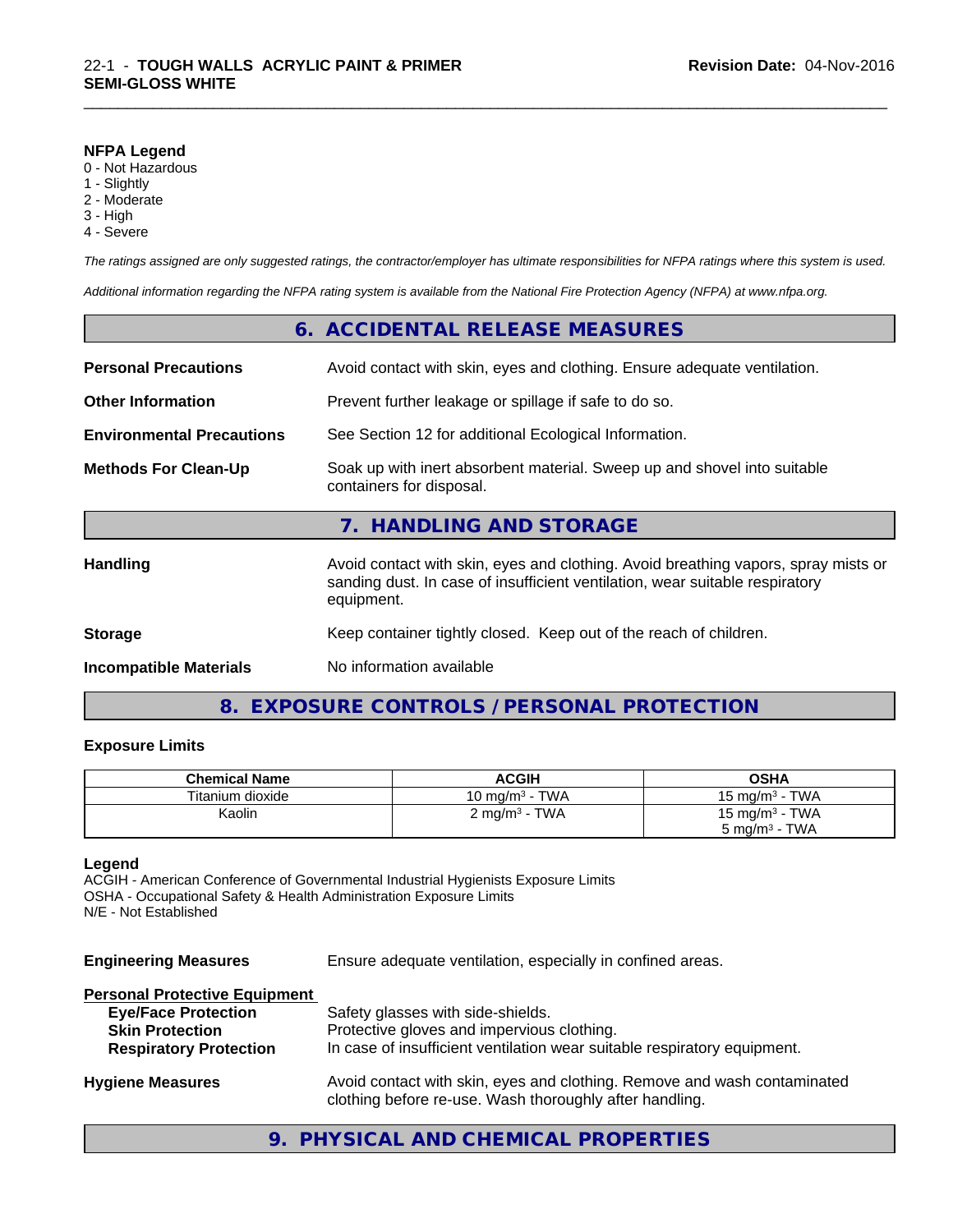#### **NFPA Legend**

- 0 Not Hazardous
- 1 Slightly
- 2 Moderate
- 3 High
- 4 Severe

*The ratings assigned are only suggested ratings, the contractor/employer has ultimate responsibilities for NFPA ratings where this system is used.*

\_\_\_\_\_\_\_\_\_\_\_\_\_\_\_\_\_\_\_\_\_\_\_\_\_\_\_\_\_\_\_\_\_\_\_\_\_\_\_\_\_\_\_\_\_\_\_\_\_\_\_\_\_\_\_\_\_\_\_\_\_\_\_\_\_\_\_\_\_\_\_\_\_\_\_\_\_\_\_\_\_\_\_\_\_\_\_\_\_\_\_\_\_

*Additional information regarding the NFPA rating system is available from the National Fire Protection Agency (NFPA) at www.nfpa.org.*

| <b>Incompatible Materials</b>    | No information available                                                                                                                                                         |
|----------------------------------|----------------------------------------------------------------------------------------------------------------------------------------------------------------------------------|
| <b>Storage</b>                   | Keep container tightly closed. Keep out of the reach of children.                                                                                                                |
| <b>Handling</b>                  | Avoid contact with skin, eyes and clothing. Avoid breathing vapors, spray mists or<br>sanding dust. In case of insufficient ventilation, wear suitable respiratory<br>equipment. |
|                                  | 7. HANDLING AND STORAGE                                                                                                                                                          |
| <b>Methods For Clean-Up</b>      | Soak up with inert absorbent material. Sweep up and shovel into suitable<br>containers for disposal.                                                                             |
| <b>Environmental Precautions</b> | See Section 12 for additional Ecological Information.                                                                                                                            |
| <b>Other Information</b>         | Prevent further leakage or spillage if safe to do so.                                                                                                                            |
| <b>Personal Precautions</b>      | Avoid contact with skin, eyes and clothing. Ensure adequate ventilation.                                                                                                         |
|                                  | 6. ACCIDENTAL RELEASE MEASURES                                                                                                                                                   |

# **8. EXPOSURE CONTROLS / PERSONAL PROTECTION**

#### **Exposure Limits**

| <b>Chemical Name</b> | <b>ACGIH</b>             | <b>OSHA</b>                |
|----------------------|--------------------------|----------------------------|
| Titanium dioxide     | 10 mg/m $3$ - TWA        | 15 mg/m $3$ - TWA          |
| Kaolin               | $2 \text{ mg/m}^3$ - TWA | 15 mg/m <sup>3</sup> - TWA |
|                      |                          | $5 \text{ mg/m}^3$ - TWA   |

### **Legend**

ACGIH - American Conference of Governmental Industrial Hygienists Exposure Limits OSHA - Occupational Safety & Health Administration Exposure Limits N/E - Not Established

| <b>Engineering Measures</b> | Ensure adequate ventilation, especially in confined areas. |  |
|-----------------------------|------------------------------------------------------------|--|
|-----------------------------|------------------------------------------------------------|--|

#### **Personal Protective Equipment**

| <b>Eye/Face Protection</b>    | Safety glasses with side-shields.                                                                                                   |
|-------------------------------|-------------------------------------------------------------------------------------------------------------------------------------|
| <b>Skin Protection</b>        | Protective gloves and impervious clothing.                                                                                          |
| <b>Respiratory Protection</b> | In case of insufficient ventilation wear suitable respiratory equipment.                                                            |
| <b>Hygiene Measures</b>       | Avoid contact with skin, eyes and clothing. Remove and wash contaminated<br>clothing before re-use. Wash thoroughly after handling. |

# **9. PHYSICAL AND CHEMICAL PROPERTIES**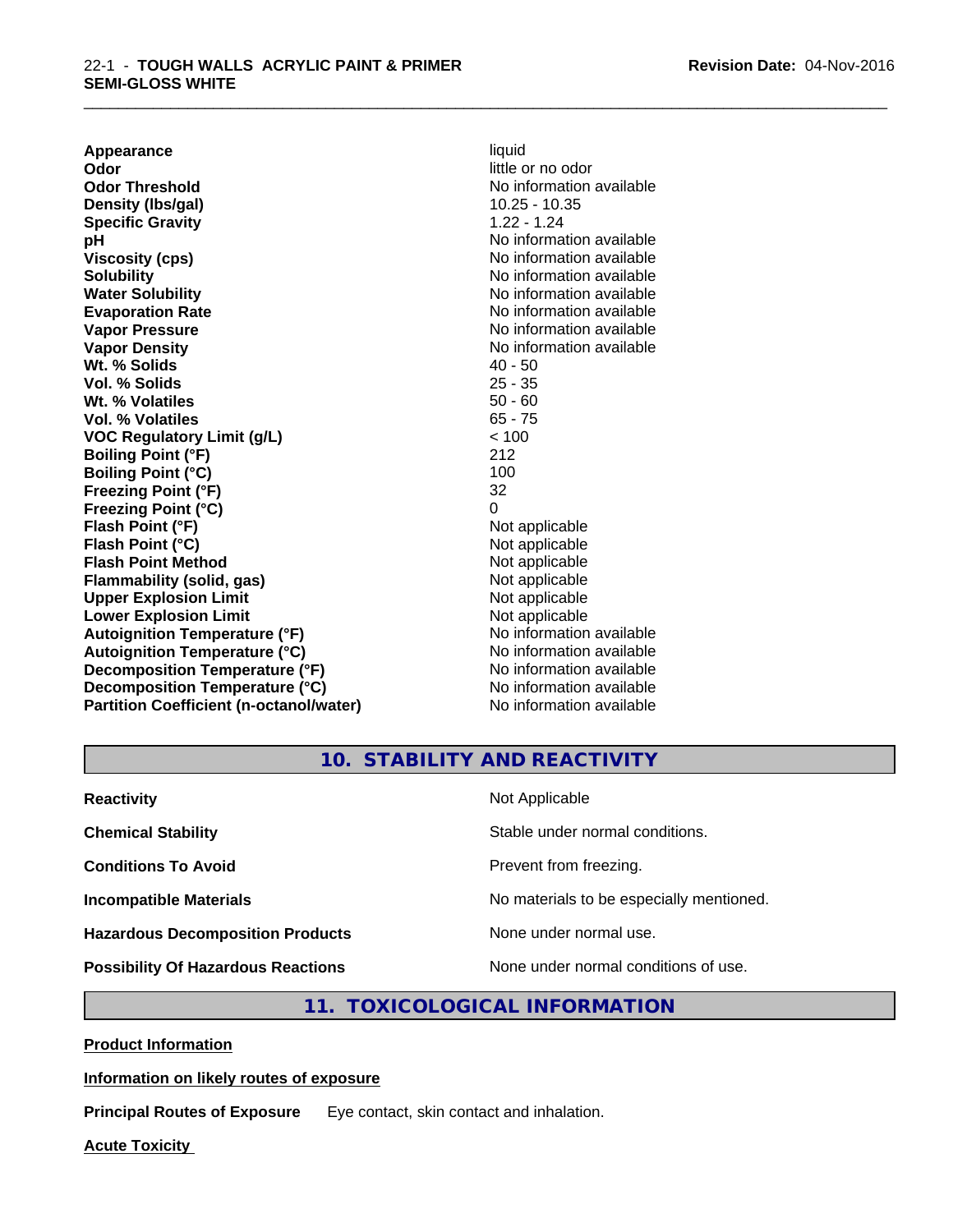**Appearance** liquid **Odor** little or no odor **Odor Threshold No information available No information available Density (Ibs/gal)** 10.25 - 10.35 **Specific Gravity** 1.22 - 1.24 **pH** No information available **Viscosity (cps)** No information available in the Viscosity (cps) **Solubility Note 2008 Note 2008 Note 2008 Note 2008 Note 2008 Note 2008 Note 2008 Note 2008 Note 2008 Note 2008 Note 2008 Note 2008 Note 2008 Note 2008 Note 2008 Note 2008 Note 2008 Note Water Solubility Water Solubility Water Solubility No information available Evaporation Rate No information available No information available Vapor Pressure** No information available **Vapor Density Vapor Density No information available Wt. % Solids** 40 - 50 **Vol. % Solids** 25 - 35 **Wt. % Volatiles** 50 - 60 **Vol. % Volatiles** 65 - 75 **VOC Regulatory Limit (g/L)** < 100 **Boiling Point (°F)** 212 **Boiling Point (°C)** 100 **Freezing Point (°F)** 32 **Freezing Point (°C)** 0 **Flash Point (°F)** Not applicable **Flash Point (°C)** Not applicable **Flash Point Method** Not applicable **Flammability (solid, gas)** Not applicable **Upper Explosion Limit**<br> **Lower Explosion Limit**<br> **Lower Explosion Limit Lower Explosion Limit**<br> **Autoignition Temperature (°F)**<br> **Autoignition Temperature (°F)**<br> **Autoignition Temperature (°F)** Autoignition Temperature (°F)<br> **Autoignition Temperature (°C)**<br>
No information available **Autoignition Temperature (°C) Decomposition Temperature (°F)** No information available **Decomposition Temperature (°C)** No information available **Partition Coefficient (n-octanol/water)** No information available

\_\_\_\_\_\_\_\_\_\_\_\_\_\_\_\_\_\_\_\_\_\_\_\_\_\_\_\_\_\_\_\_\_\_\_\_\_\_\_\_\_\_\_\_\_\_\_\_\_\_\_\_\_\_\_\_\_\_\_\_\_\_\_\_\_\_\_\_\_\_\_\_\_\_\_\_\_\_\_\_\_\_\_\_\_\_\_\_\_\_\_\_\_

**10. STABILITY AND REACTIVITY**

| <b>Reactivity</b>                         | Not Applicable                           |
|-------------------------------------------|------------------------------------------|
| <b>Chemical Stability</b>                 | Stable under normal conditions.          |
| <b>Conditions To Avoid</b>                | Prevent from freezing.                   |
| <b>Incompatible Materials</b>             | No materials to be especially mentioned. |
| <b>Hazardous Decomposition Products</b>   | None under normal use.                   |
| <b>Possibility Of Hazardous Reactions</b> | None under normal conditions of use.     |

# **11. TOXICOLOGICAL INFORMATION**

**Product Information**

#### **Information on likely routes of exposure**

**Principal Routes of Exposure** Eye contact, skin contact and inhalation.

**Acute Toxicity**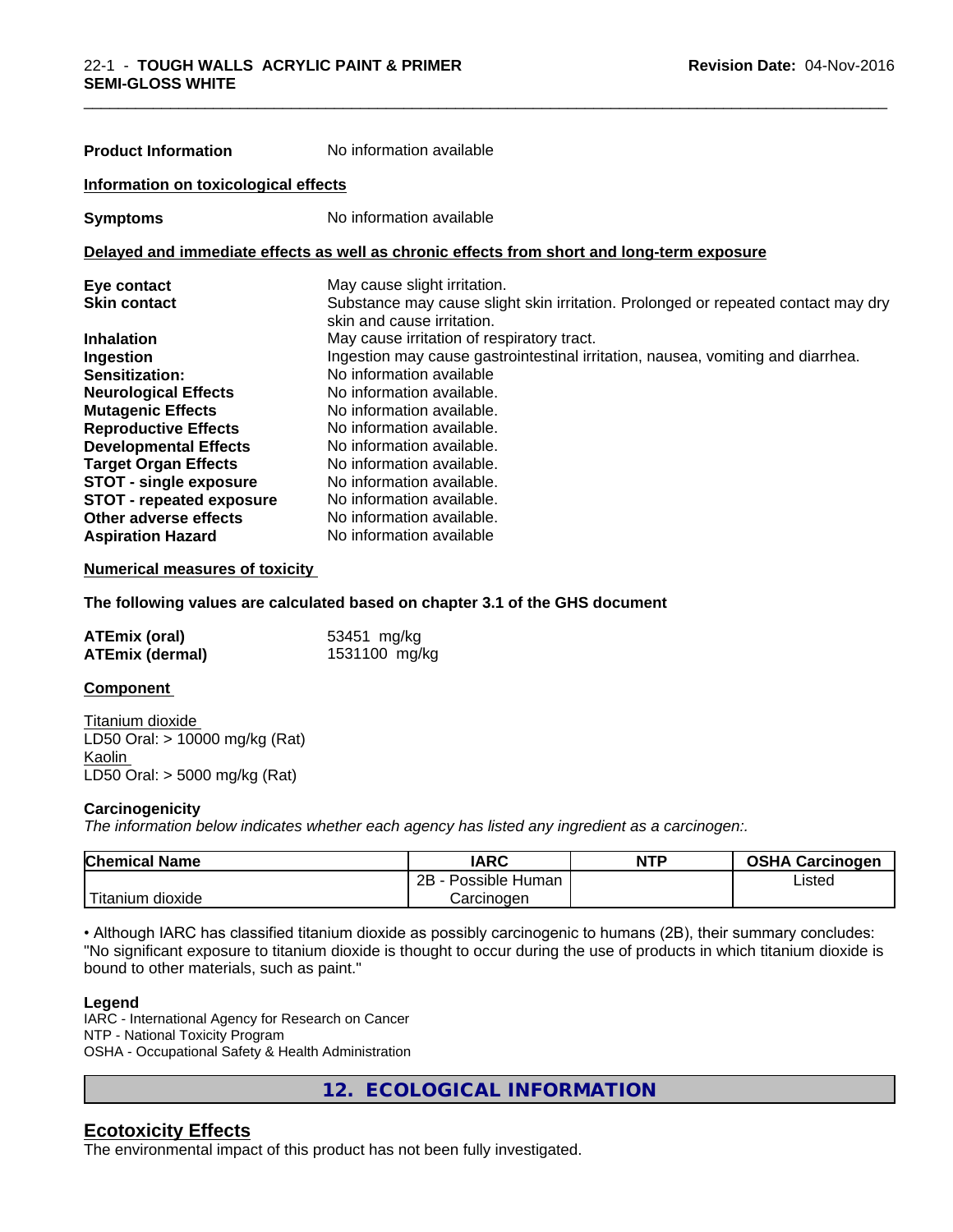| <b>Product Information</b>           | No information available                                                                                        |
|--------------------------------------|-----------------------------------------------------------------------------------------------------------------|
| Information on toxicological effects |                                                                                                                 |
| <b>Symptoms</b>                      | No information available                                                                                        |
|                                      | Delayed and immediate effects as well as chronic effects from short and long-term exposure                      |
| Eye contact                          | May cause slight irritation.                                                                                    |
| <b>Skin contact</b>                  | Substance may cause slight skin irritation. Prolonged or repeated contact may dry<br>skin and cause irritation. |
| <b>Inhalation</b>                    | May cause irritation of respiratory tract.                                                                      |
| Ingestion                            | Ingestion may cause gastrointestinal irritation, nausea, vomiting and diarrhea.                                 |
| Sensitization:                       | No information available                                                                                        |
| <b>Neurological Effects</b>          | No information available.                                                                                       |
| <b>Mutagenic Effects</b>             | No information available.                                                                                       |
| <b>Reproductive Effects</b>          | No information available.                                                                                       |
| <b>Developmental Effects</b>         | No information available.                                                                                       |
| <b>Target Organ Effects</b>          | No information available.                                                                                       |
| <b>STOT - single exposure</b>        | No information available.                                                                                       |
| <b>STOT - repeated exposure</b>      | No information available.                                                                                       |
| Other adverse effects                | No information available.                                                                                       |
| <b>Aspiration Hazard</b>             | No information available                                                                                        |

\_\_\_\_\_\_\_\_\_\_\_\_\_\_\_\_\_\_\_\_\_\_\_\_\_\_\_\_\_\_\_\_\_\_\_\_\_\_\_\_\_\_\_\_\_\_\_\_\_\_\_\_\_\_\_\_\_\_\_\_\_\_\_\_\_\_\_\_\_\_\_\_\_\_\_\_\_\_\_\_\_\_\_\_\_\_\_\_\_\_\_\_\_

#### **Numerical measures of toxicity**

**The following values are calculated based on chapter 3.1 of the GHS document**

| <b>ATEmix (oral)</b>   | 53451 mg/kg   |
|------------------------|---------------|
| <b>ATEmix (dermal)</b> | 1531100 mg/kg |

#### **Component**

Titanium dioxide LD50 Oral: > 10000 mg/kg (Rat) Kaolin LD50 Oral: > 5000 mg/kg (Rat)

#### **Carcinogenicity**

*The information below indicateswhether each agency has listed any ingredient as a carcinogen:.*

| <b>Chemical Name</b>    | <b>IARC</b>          | <b>NTP</b> | <b>OSHA Carcinogen</b> |
|-------------------------|----------------------|------------|------------------------|
|                         | 2B<br>Possible Human |            | Listed                 |
| .<br>dioxide<br>itanium | Carcinogen           |            |                        |

• Although IARC has classified titanium dioxide as possibly carcinogenic to humans (2B), their summary concludes: "No significant exposure to titanium dioxide is thought to occur during the use of products in which titanium dioxide is bound to other materials, such as paint."

#### **Legend**

IARC - International Agency for Research on Cancer NTP - National Toxicity Program OSHA - Occupational Safety & Health Administration

**12. ECOLOGICAL INFORMATION**

# **Ecotoxicity Effects**

The environmental impact of this product has not been fully investigated.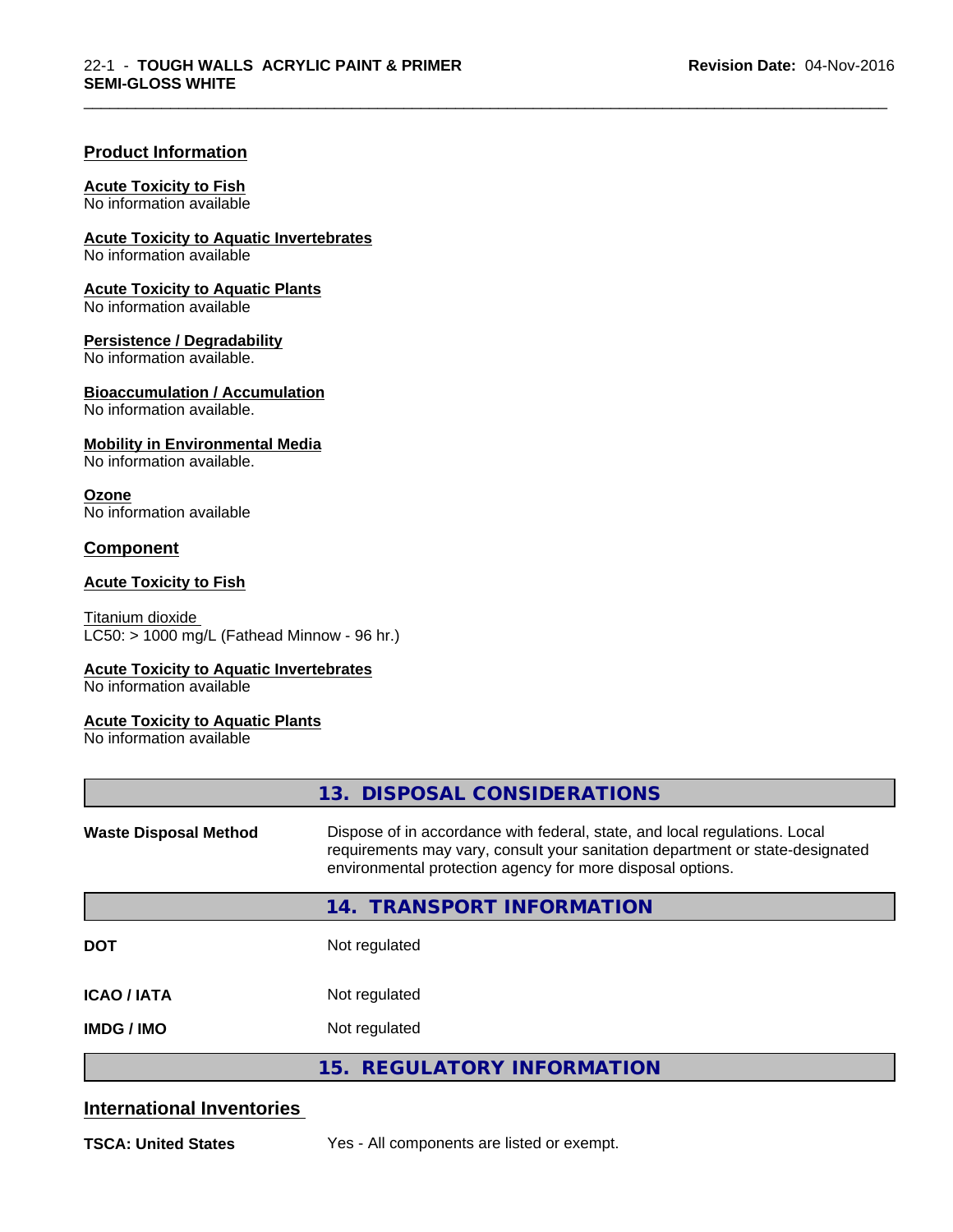\_\_\_\_\_\_\_\_\_\_\_\_\_\_\_\_\_\_\_\_\_\_\_\_\_\_\_\_\_\_\_\_\_\_\_\_\_\_\_\_\_\_\_\_\_\_\_\_\_\_\_\_\_\_\_\_\_\_\_\_\_\_\_\_\_\_\_\_\_\_\_\_\_\_\_\_\_\_\_\_\_\_\_\_\_\_\_\_\_\_\_\_\_

#### **Product Information**

#### **Acute Toxicity to Fish**

No information available

**Acute Toxicity to Aquatic Invertebrates**

No information available

**Acute Toxicity to Aquatic Plants**

No information available

#### **Persistence / Degradability**

No information available.

#### **Bioaccumulation / Accumulation**

No information available.

#### **Mobility in Environmental Media**

No information available.

#### **Ozone**

No information available

# **Component**

#### **Acute Toxicity to Fish**

Titanium dioxide  $\overline{\text{LC50:}}$  > 1000 mg/L (Fathead Minnow - 96 hr.)

#### **Acute Toxicity to Aquatic Invertebrates**

No information available

#### **Acute Toxicity to Aquatic Plants**

No information available

|                              | 13. DISPOSAL CONSIDERATIONS                                                                                                                                                                                               |
|------------------------------|---------------------------------------------------------------------------------------------------------------------------------------------------------------------------------------------------------------------------|
| <b>Waste Disposal Method</b> | Dispose of in accordance with federal, state, and local regulations. Local<br>requirements may vary, consult your sanitation department or state-designated<br>environmental protection agency for more disposal options. |
|                              | 14. TRANSPORT INFORMATION                                                                                                                                                                                                 |
| <b>DOT</b>                   | Not regulated                                                                                                                                                                                                             |
| <b>ICAO/IATA</b>             | Not regulated                                                                                                                                                                                                             |
| <b>IMDG/IMO</b>              | Not regulated                                                                                                                                                                                                             |
|                              | 15. REGULATORY INFORMATION                                                                                                                                                                                                |

# **International Inventories**

**TSCA: United States** Yes - All components are listed or exempt.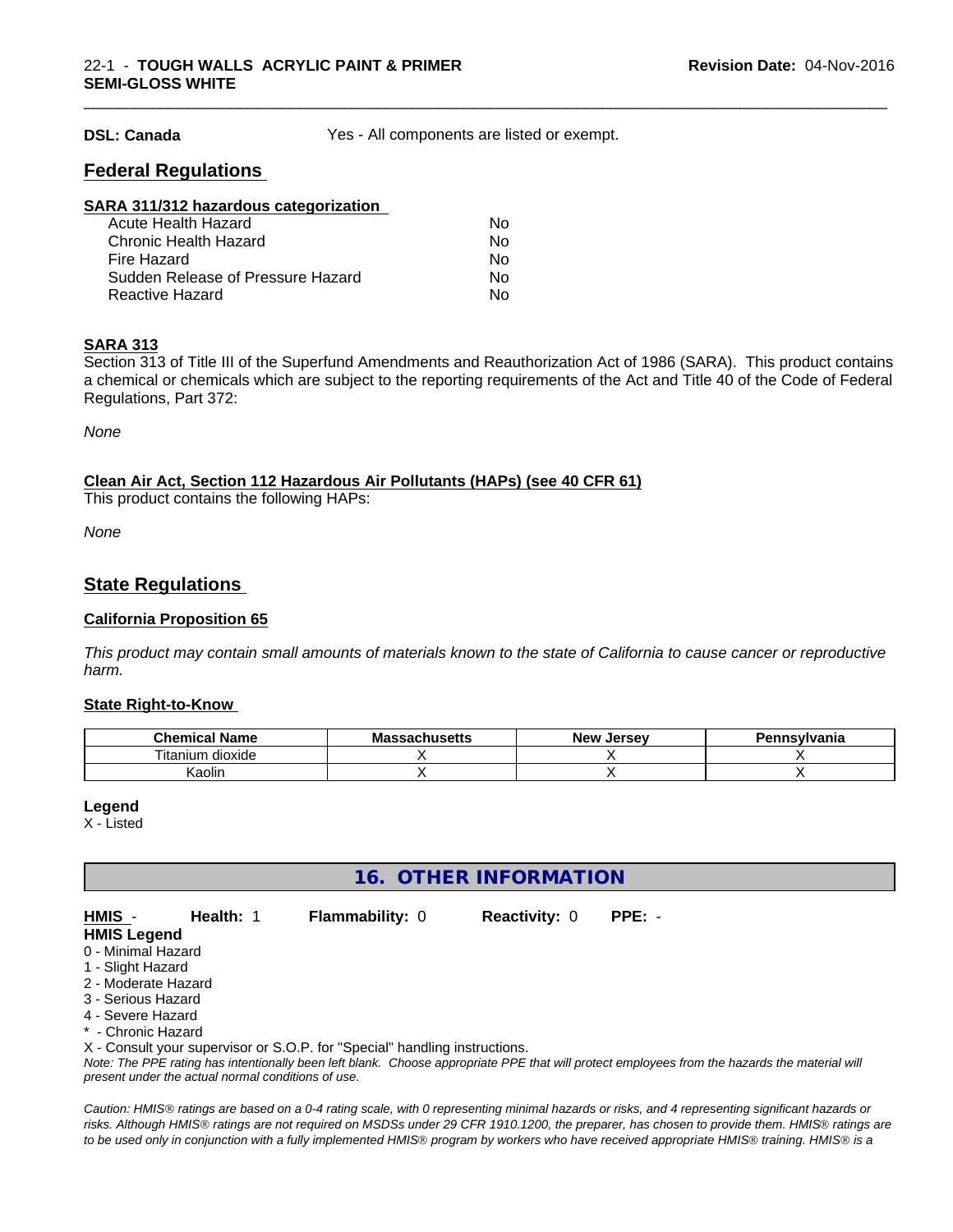**DSL: Canada** Yes - All components are listed or exempt.

\_\_\_\_\_\_\_\_\_\_\_\_\_\_\_\_\_\_\_\_\_\_\_\_\_\_\_\_\_\_\_\_\_\_\_\_\_\_\_\_\_\_\_\_\_\_\_\_\_\_\_\_\_\_\_\_\_\_\_\_\_\_\_\_\_\_\_\_\_\_\_\_\_\_\_\_\_\_\_\_\_\_\_\_\_\_\_\_\_\_\_\_\_

# **Federal Regulations**

| SARA 311/312 hazardous categorization |    |  |
|---------------------------------------|----|--|
| Acute Health Hazard                   | Nο |  |
| Chronic Health Hazard                 | Nο |  |
| Fire Hazard                           | No |  |
| Sudden Release of Pressure Hazard     | No |  |
| Reactive Hazard                       | No |  |

#### **SARA 313**

Section 313 of Title III of the Superfund Amendments and Reauthorization Act of 1986 (SARA). This product contains a chemical or chemicals which are subject to the reporting requirements of the Act and Title 40 of the Code of Federal Regulations, Part 372:

*None*

#### **Clean Air Act,Section 112 Hazardous Air Pollutants (HAPs) (see 40 CFR 61)**

This product contains the following HAPs:

*None*

# **State Regulations**

#### **California Proposition 65**

This product may contain small amounts of materials known to the state of California to cause cancer or reproductive *harm.*

#### **State Right-to-Know**

| . .<br>Chemical<br><b>Name</b><br>.а | - -<br>ההמ<br>.eh. .ee <del>l</del> k<br>Ma<br>aunus <del>c</del> us | . .<br>Jersev<br>Nev : | <b>Insvivania</b> |
|--------------------------------------|----------------------------------------------------------------------|------------------------|-------------------|
| dioxide<br>l itanıum                 |                                                                      |                        |                   |
| .<br>Kaolir                          |                                                                      |                        |                   |

#### **Legend**

X - Listed

**16. OTHER INFORMATION**

**HMIS** - **Health:** 1 **Flammability:** 0 **Reactivity:** 0 **PPE:** -

#### **HMIS Legend** 0 - Minimal Hazard

- 
- 1 Slight Hazard 2 - Moderate Hazard
- 3 Serious Hazard
- 4 Severe Hazard
- \* Chronic Hazard

X - Consult your supervisor or S.O.P. for "Special" handling instructions.

*Note: The PPE rating has intentionally been left blank. Choose appropriate PPE that will protect employees from the hazards the material will present under the actual normal conditions of use.*

*Caution: HMISÒ ratings are based on a 0-4 rating scale, with 0 representing minimal hazards or risks, and 4 representing significant hazards or risks. Although HMISÒ ratings are not required on MSDSs under 29 CFR 1910.1200, the preparer, has chosen to provide them. HMISÒ ratings are to be used only in conjunction with a fully implemented HMISÒ program by workers who have received appropriate HMISÒ training. HMISÒ is a*